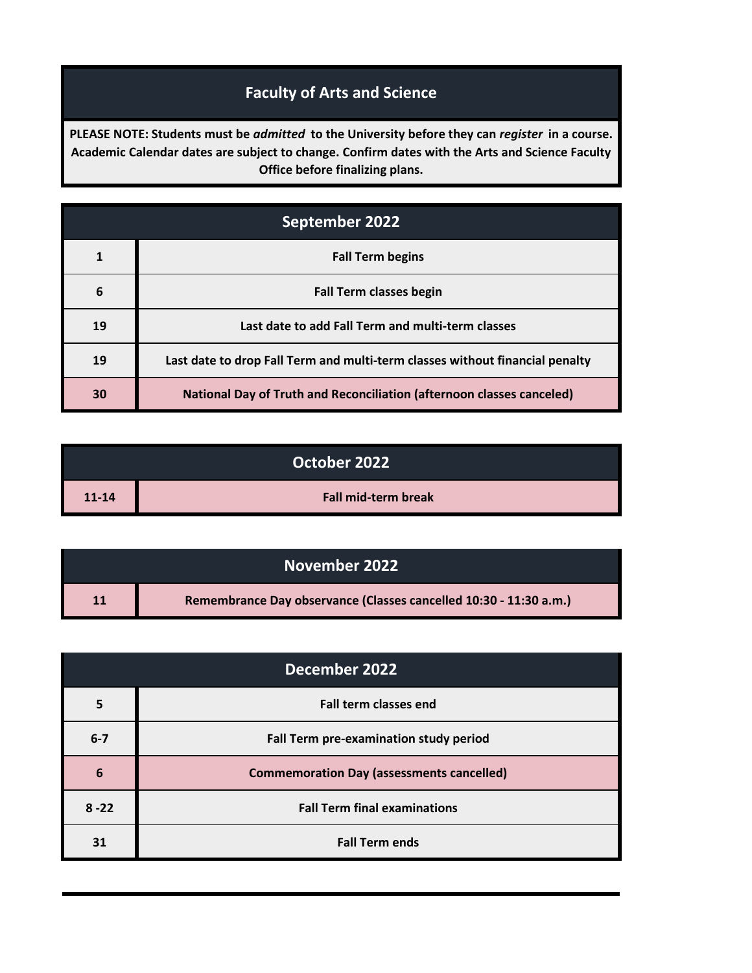## **Faculty of Arts and Science**

**PLEASE NOTE: Students must be** *admitted* **to the University before they can** *register* **in a course. Academic Calendar dates are subject to change. Confirm dates with the Arts and Science Faculty Office before finalizing plans.**

| September 2022 |                                                                              |
|----------------|------------------------------------------------------------------------------|
|                | <b>Fall Term begins</b>                                                      |
| 6              | <b>Fall Term classes begin</b>                                               |
| 19             | Last date to add Fall Term and multi-term classes                            |
| 19             | Last date to drop Fall Term and multi-term classes without financial penalty |
| 30             | <b>National Day of Truth and Reconciliation (afternoon classes canceled)</b> |

| October 2022 |                            |
|--------------|----------------------------|
| $11 - 14$    | <b>Fall mid-term break</b> |

| November 2022 |                                                                   |
|---------------|-------------------------------------------------------------------|
| 11            | Remembrance Day observance (Classes cancelled 10:30 - 11:30 a.m.) |

| December 2022 |                                                  |
|---------------|--------------------------------------------------|
|               | <b>Fall term classes end</b>                     |
| $6 - 7$       | Fall Term pre-examination study period           |
| 6             | <b>Commemoration Day (assessments cancelled)</b> |
| $8 - 22$      | <b>Fall Term final examinations</b>              |
| 31            | <b>Fall Term ends</b>                            |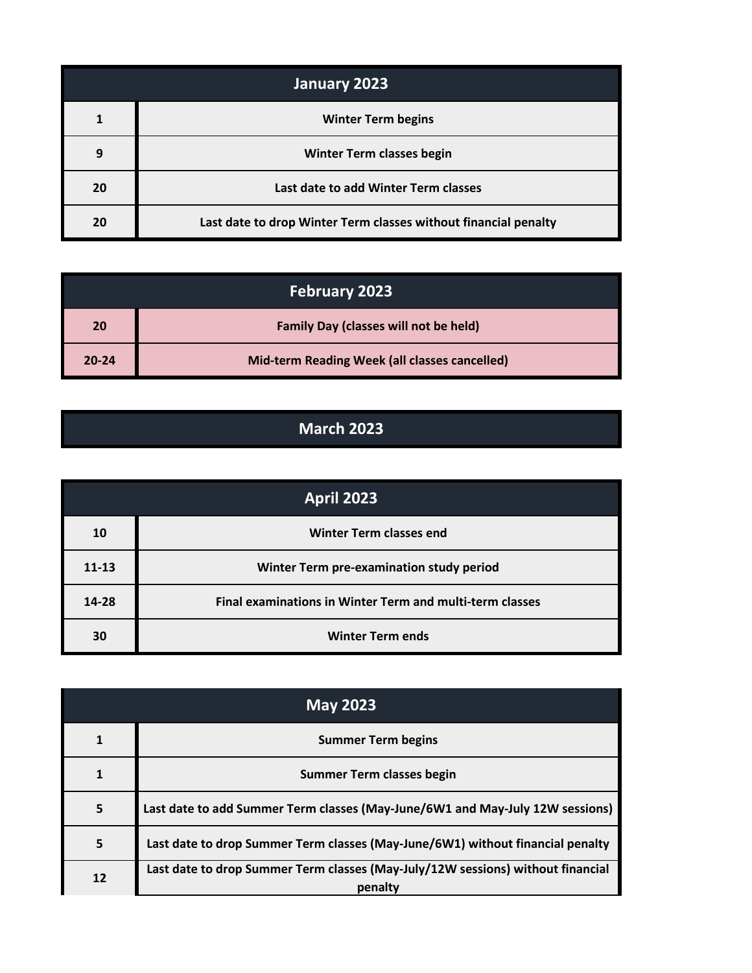| January 2023 |                                                                 |
|--------------|-----------------------------------------------------------------|
|              | <b>Winter Term begins</b>                                       |
| q            | <b>Winter Term classes begin</b>                                |
| 20           | Last date to add Winter Term classes                            |
| 20           | Last date to drop Winter Term classes without financial penalty |

| <b>February 2023</b> |                                               |
|----------------------|-----------------------------------------------|
| 20                   | <b>Family Day (classes will not be held)</b>  |
| $20 - 24$            | Mid-term Reading Week (all classes cancelled) |

## **March 2023**

| <b>April 2023</b> |                                                          |
|-------------------|----------------------------------------------------------|
| 10                | <b>Winter Term classes end</b>                           |
| $11 - 13$         | Winter Term pre-examination study period                 |
| 14-28             | Final examinations in Winter Term and multi-term classes |
| 30                | <b>Winter Term ends</b>                                  |

| <b>May 2023</b> |                                                                                            |
|-----------------|--------------------------------------------------------------------------------------------|
|                 | <b>Summer Term begins</b>                                                                  |
|                 | <b>Summer Term classes begin</b>                                                           |
| 5               | Last date to add Summer Term classes (May-June/6W1 and May-July 12W sessions)              |
| 5               | Last date to drop Summer Term classes (May-June/6W1) without financial penalty             |
| 12              | Last date to drop Summer Term classes (May-July/12W sessions) without financial<br>penalty |